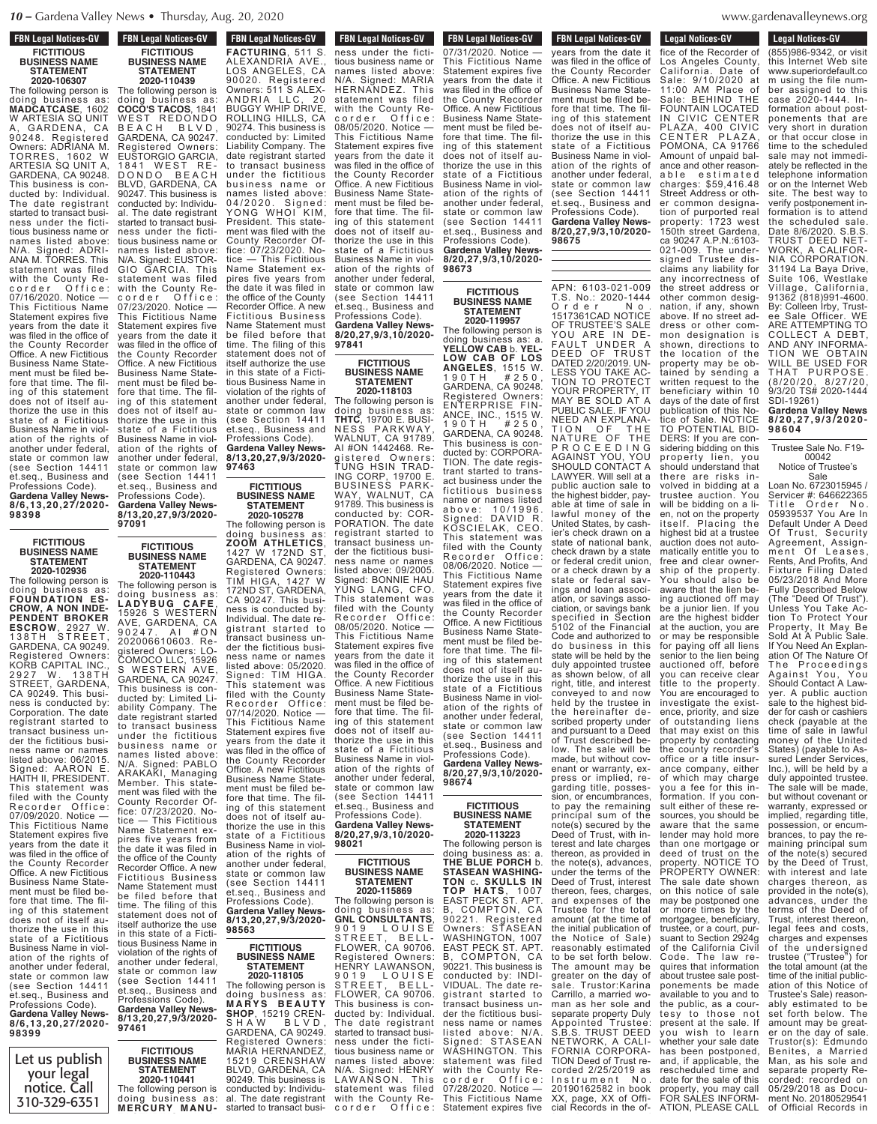**FICTITIOUS BUSINESS NAME STATEMENT 2020-106307**

The following person is doing business as: **MADCATCASE**, 1602 W ARTESIA SQ UNIT WARTESHOG SINT<br>A, GARDENA, CA<br>90248 Registered 90248. Registered Owners: ADRIANA M. TORRES, 1602 W ARTESIA SQ UNIT A, GARDENA, CA 90248. This business is conducted by: Individual. The date registrant started to transact business under the fictitious business name or names listed above: N/A. Signed: ADRI-ANA M. TORRES. This statement was filed with the County Re-<br>corder Office c o r d e r 07/16/2020. Notice — This Fictitious Name Statement expires five years from the date it was filed in the office of the County Recorder Office. A new Fictitious **Business Name State**ment must be filed before that time. The filing of this statement does not of itself authorize the use in this state of a Fictitious Business Name in violation of the rights of another under federal, state or common law (see Section 14411 et.seq., Business and Professions Code). **Gardena Valley News-8/6,13,20,27/2020- 98398**

> **FICTITIOUS BUSINESS NAME STATEMENT 2020-102936**

The following person is doing business as: **FOUNDATION ES-CROW, A NON INDE-PENDENT BROKER ESCROW**, 2927 W. 138TH STREET, GARDENA, CA 90249. Registered Owners: KORB CAPITAL INC., 2927 W. 138TH STREET, GARDENA, CA 90249. This business is conducted by: Corporation. The date registrant started to transact business under the fictitious business name or names listed above: 06/2015. Signed: AARON E. HAITH II, PRESIDENT. This statement was filed with the County<br>Recorder Office R e corder 07/09/2020. Notice — This Fictitious Name Statement expires five years from the date it was filed in the office of the County Recorder Office. A new Fictitious Business Name Statement must be filed before that time. The filing of this statement does not of itself authorize the use in this state of a Fictitious Business Name in violation of the rights of another under federal, state or common law (see Section 14411 et.seq., Business and Professions Code). **Gardena Valley News-8/6,13,20,27/2020- 98399**

Let us publish your legal notice. Call 310-329-6351

**FBN Legal Notices-GV FBN Legal Notices-GV FICTITIOUS BUSINESS NAME STATEMENT**

**2020-110439**

LOS ANGELES, CA 90020. Registered Owners: 511 S ALEX-ANDRIA LLC, 20 BUGGY WHIP DRIVE, ROLLING HILLS, CA 90274. This business is conducted by: Limited Liability Company. The date registrant started to transact business under the fictitious business name or names listed above: 04/2020. Signed: YONG WHOI KIM, President. This statement was filed with the County Recorder Office: 07/23/2020. Notice — This Fictitious Name Statement expires five years from the date it was filed in the office of the County Recorder Office. A new Fictitious Business Name Statement must be filed before that time. The filing of this statement does not of itself authorize the use in this state of a Fictitious Business Name in violation of the rights of another under federal, state or common law (see Section 14411 et.seq., Business and Professions Code). **Gardena Valley News-8/13,20,27,9/3/2020- 97463** The following person is doing business as: **COCO'S TACOS**, 1841 WEST REDONDO B E A C H B L V D , GARDENA, CA 90247. Registered Owners: EUSTORGIO GARCIA, 1841 WEST RE-D O N D O B E A C H BLVD, GARDENA, CA 90247. This business is conducted by: Individual. The date registrant started to transact business under the fictitious business name or names listed above: N/A. Signed: EUSTOR-GIO GARCIA. This statement was filed with the County Re- $O$  f f i c e : 07/23/2020. Notice — This Fictitious Name Statement expires five years from the date it was filed in the office of the County Recorder Office. A new Fictitious Business Name Statement must be filed before that time. The filing of this statement does not of itself authorize the use in this state of a Fictitious Business Name in violation of the rights of another under federal, state or common law (see Section 14411

**FACTURING, 511 S.**<br>ALEXANDRIA AVE.

#### **FICTITIOUS BUSINESS NAME STATEMENT 2020-105278**

The following person is

doing business as: **ZOOM ATHLETICS**, 1427 W 172ND ST, GARDENA, CA 90247. Registered Owners: TIM HIGA, 1427 W 172ND ST, GARDENA, CA 90247. This business is conducted by: Individual. The date registrant started to transact business under the fictitious business name or names **FICTITIOUS BUSINESS NAME STATEMENT 2020-110443** The following person is doing business as: **L A D Y B U G C A FE**, 15926 S WESTERN AVE, GARDENA, CA 9 0 2 4 7 . A I # O N 0247. Al #ON<br>202006610603. Registered Owners: LO-COMOCO LLC, 15926 WESTERN AVE GARDENA, CA 90247. This business is conducted by: Limited Liability Company. The

et.seq., Business and Professions Code). **Gardena Valley News-8/13,20,27,9/3/2020-**

**97091**

listed above: 05/2020. Signed: TIM HIGA. This statement was filed with the County Recorder Office: 07/14/2020. Notice — This Fictitious Name Statement expires five years from the date it was filed in the office of the County Recorder Office. A new Fictitious Business Name Statement must be filed before that time. The filing of this statement does not of itself authorize the use in this state of a Fictitious Business Name in violation of the rights of another under federal, state or common law (see Section 14411 et.seq., Business and Professions Code). **Gardena Valley News-8/13,20,27,9/3/2020- 98563 FICTITIOUS** date registrant started to transact business under the fictitious business name or names listed above: N/A. Signed: PABLO ARAKAKI, Managing Member. This statement was filed with the County Recorder Office: 07/23/2020. Notice — This Fictitious Name Statement expires five years from the date it was filed in the office of the County Recorder Office. A new Fictitious Business Name Statement must be filed before that time. The filing of this statement does not of itself authorize the use in this state of a Fictitious Business Name in violation of the rights of

**BUSINESS NAME STATEMENT 2020-118105** The following person is doing business as: **M A R Y S B E A U T Y SHOP**, 15219 CREN-S H A W B L V D , GARDENA, CA 90249. Registered Owners: MARIA HERNANDEZ, 15219 CRENSHAW BLVD, GARDENA, CA 90249. This business is conducted by: Individual. The date registrant

another under federal state or common law (see Section 14411 et.seq., Business and Professions Code). **Gardena Valley News-8/13,20,27,9/3/2020- 97461**

**MERCURY MANU-** started to transact busi-**FICTITIOUS BUSINESS NAME STATEMENT 2020-110441** The following person is doing business as:

**FBN Legal Notices-GV FON LEGAL NULLES-AV** ness under the fictitious business name or names listed above: N/A. Signed: MARIA HERNANDEZ. This statement was filed with the County Recorder Office: 08/05/2020. Notice — This Fictitious Name Statement expires five years from the date it was filed in the office of the County Recorder Office. A new Fictitious Business Name Statement must be filed before that time. The filing of this statement does not of itself authorize the use in this state of a Fictitious Business Name in violation of the rights of another under federal, state or common law (see Section 14411 et.seq., Business and Professions Code). **Gardena Valley News-8/20,27,9/3,10/2020- 97841 FBN Legal Notices-GV** ALEXANDRIA AVE.,

> **FICTITIOUS BUSINESS NAME STATEMENT 2020-118103**

The following person is doing business as: **THTC**, 19700 E. BUSI-NESS PARKWAY, WALNUT, CA 91789. AI #ON 1442468. Registered Owners: TUNG HSIN TRAD-ING CORP, 19700 E. BUSINESS PARK-WAY, WALNUT, CA 91789. This business is conducted by: COR-PORATION. The date registrant started to transact business under the fictitious business name or names listed above: 09/2005. Signed: BONNIE HAU YUNG LANG, CFO. This statement was filed with the County<br>Recorder Office: Recorder 08/05/2020. Notice -This Fictitious Name Statement expires five years from the date it was filed in the office of the County Recorder Office. A new Fictitious Business Name Statement must be filed before that time. The filing of this statement does not of itself authorize the use in this state of a Fictitious Business Name in violation of the rights of another under federal, state or common law (see Section 14411 et.seq., Business and Professions Code). **Gardena Valley News-8/20,27,9/3,10/2020-**

# **FICTITIOUS BUSINESS NAME STATEMENT**

**98021**

**2020-115869** The following person is doing business as: **GNL CONSULTANTS**, 9019 LOUISE STREET, BELL-FLOWER, CA 90706. Registered Owners: HENRY LAWANSON,<br>9019 LOUISE 9019 LOUISE STREET, BELL-FLOWER, CA 90706. This business is conducted by: Individual. The date registrant started to transact business under the fictitious business name or names listed above: N/A. Signed: HENRY LAWAÑSON. This statement was filed

with the County Recorder Office:

**FBN Legal Notices-GV** r div leyal nulles-dv 07/31/2020. Notice — This Fictitious Name Statement expires five years from the date it was filed in the office of the County Recorder Office. A new Fictitious Business Name Statement must be filed before that time. The filing of this statement does not of itself authorize the use in this state of a Fictitious Business Name in violation of the rights of another under federal, state or common law (see Section 14411 et.seq., Business and Professions Code). **Gardena Valley News-8/20,27,9/3,10/2020-**

**FICTITIOUS BUSINESS NAME STATEMENT 2020-119957**

**98673**

The following person is doing business as: a. **YELLOW CAB** b. **YEL-LOW CAB OF LOS ANGELES**, 1515 W. 1 9 0 T H # 2 5 0 , GARDENA, CA 90248. Registered Owners: ENTERPRISE FIN-ANCE, INC., 1515 W. 1 9 0 T H # 2 5 0 , GARDENA, CA 90248. This business is conducted by: CORPORA-TION. The date registrant started to transact business under the fictitious business name or names listed a b o v e : 1 0 / 1 9 9 6 . Signed: DAVID R. KOSCIELAK, CEO. This statement was filed with the County Recorder Office: 08/06/2020. Notice — This Fictitious Name Statement expires five years from the date it was filed in the office of the County Recorder Office. A new Fictitious Business Name Statement must be filed before that time. The filing of this statement does not of itself authorize the use in this state of a Fictitious Business Name in violation of the rights of another under federal, state or common law (see Section 14411 et.seq., Business and Professions Code). **Gardena Valley News-**

**8/20,27,9/3,10/2020- 98674**

## **FICTITIOUS BUSINESS NAME STATEMENT 2020-113223**

The following person is doing business as: a. **THE BLUE PORCH** b. **STASEAN WASHING-TON** c**. SKULLS IN TOP H A TS**, 1 0 0 7 EAST PECK ST. APT. B, COMPTON, CA 90221. Registered Owners: STASEAN WASHINGTON, 1007 EAST PECK ST. APT. B, COMPTON, CA 90221. This business is conducted by: INDI-VIDUAL. The date registrant started to transact business under the fictitious business name or names listed above: N/A<br>Signed: STASEAN Signed: STASEAN WASHINGTON. This statement was filed with the County Recorder Office: 07/28/2020. Notice — This Fictitious Name

Statement expires five

**FBN Legal Notices-GV** 

**FON LEGAL NULLES-GV** years from the date it was filed in the office of the County Recorder Office. A new Fictitious Business Name Statement must be filed before that time. The filing of this statement does not of itself authorize the use in this state of a Fictitious Business Name in violation of the rights of another under federal, state or common law (see Section 14411 et.seq., Business and Professions Code). **Gardena Valley News-8/20,27,9/3,10/2020- 98675**

APN: 6103-021-009 T.S. No.: 2020-1444

Order No. 1517361CAD NOTICE OF TRUSTEE'S SALE YOU ARE IN DE-FAULT UNDER A FAULT UNDER A<br>DEED OF TRUST DATED 2/20/2019. UN-LESS YOU TAKE AC-TION TO PROTECT YOUR PROPERTY, IT MAY BE SOLD AT A PUBLIC SALE. IF YOU NEED AN EXPLANA-TION OF THE NATURE OF THE P R O C E E D I N G AGAINST YOU, YOU SHOULD CONTACT A LAWYER. Will sell at a public auction sale to the highest bidder, payable at time of sale in lawful money of the United States, by cashier's check drawn on a state of national bank check drawn by a state or federal credit union, or a check drawn by a state or federal savings and loan association, or savings association, or savings bank specified in Section 5102 of the Financial Code and authorized to do business in this state will be held by the duly appointed trustee as shown below, of all right, title, and interest conveyed to and now held by the trustee in the hereinafter described property under and pursuant to a Deed of Trust described below. The sale will be made, but without covenant or warranty, express or implied, regarding title, possession, or encumbrances, to pay the remaining principal sum of the note(s) secured by the Deed of Trust, with interest and late charges thereon, as provided in the note(s), advances, under the terms of the Deed of Trust, interest thereon, fees, charges, and expenses of the Trustee for the total amount (at the time of the initial publication of the Notice of Sale) reasonably estimated to be set forth below. The amount may be greater on the day of sale. Trustor:Karina Carrillo, a married woman as her sole and separate property Duly Appointed Trustee: S.B.S. TRUST DEED NETWORK, A CALI-FORNIA CORPORA-TION Deed of Trust recorded 2/25/2019 as<br>Instrument No. Instrument 20190162582 in book XX, page, XX of Offi-

property in the call of the call of the call of the call of the call of the call of the call of the call of the call of the call of the call of the call of the call of the call of the call of the call of the call of the ca **Legal Notices-GV** 2019. **........** cegal Nutrices-GV fice of the Recorder of

 $WWW.97$ 

Los Angeles County,

California. Date of Sale: 9/10/2020 at<br>11:00 AM Place of 11:00 AM Place<br>Sale: BEHIND T **BEHIND THE** FOUNTAIN LOCATED IN CIVIC CENTER PLAZA, 400 CIVIC CENTER PLAZA, POMONA, CA 91766 Amount of unpaid balance and other reasona b l e e s tim a t e d charges: \$59,416.48 Street Address or other common designation of purported real property: 1723 west 150th street Gardena, ca 90247 A.P.N.:6103- 021-009. The undersigned Trustee disclaims any liability for any incorrectness of the street address or other common designation, if any, shown above. If no street address or other common designation is shown, directions to the location of the property may be obtained by sending a written request to the beneficiary within 10 days of the date of first publication of this Notice of Sale. NOTICE TO POTENTIAL BID-DERS: If you are considering bidding on this property lien, you should understand that there are risks involved in bidding at a trustee auction. You will be bidding on a lien, not on the property itself. Placing the highest bid at a trustee auction does not automatically entitle you to free and clear ownership of the property. You should also be aware that the lien being auctioned off may be a junior lien. If you are the highest bidder at the auction, you are or may be responsible for paying off all liens senior to the lien being auctioned off, before you can receive clear title to the property. You are encouraged to investigate the existence, priority, and size of outstanding liens that may exist on this property by contacting the county recorder's office or a title insurance company, either of which may charge you a fee for this information. If you consult either of these resources, you should be aware that the same lender may hold more than one mortgage or deed of trust on the property. NOTICE TO PROPERTY OWNER: The sale date shown on this notice of sale may be postponed one or more times by the mortgagee, beneficiary, trustee, or a court, pursuant to Section 2924g of the California Civil Code. The law requires that information about trustee sale postponements be made available to you and to the public, as a courtesy to those not present at the sale. If .<br>vou wish to learn whether your sale date has been postponed, and, if applicable, the rescheduled time and date for the sale of this property, you may call FOR SALES INFORM-ATION, PLEASE CALL (855)986-9342, or visit cial Records in the of-

**Legal Notices-GV Legal Nutiles-GV** (855)986-9342, or visit this Internet Web site www.superiordefault.co m using the file number assigned to this case 2020-1444. Information about postponements that are very short in duration or that occur close in time to the scheduled sale may not immediately be reflected in the telephone information or on the Internet Web site. The best way to verify postponement information is to attend the scheduled sale. Date 8/6/2020. S.B.S. TRUST DEED NET-WORK, A CALIFOR-NIA CORPORATION. 31194 La Baya Drive, Suite 106, Westlake Village, California, 91362 (818)991-4600. By: Colleen Irby, Trustee Sale Officer. WE ARE ATTEMPTING TO COLLECT A DEBT, **ANY INFORMA** TION WE OBTAIN WILL BE USED FOR THAT PURPOSE (8/20/20, 8/27/20, 9/3/20 TS# 2020-1444 SDI-19261) **Gardena Valley News 8 / 2 0 , 2 7 , 9 / 3 / 2 0 2 0 - 9 8 6 0 4**

denavalleynews.org

Trustee Sale No. F19- 00042 Notice of Trustee's

Sale Loan No. 6723015945 / Servicer #: 646622365 Title Order No. 05939537 You Are In Default Under A Deed Of Trust, Security Agreement, Assignment Of Leases, Rents, And Profits, And Fixture Filing Dated 05/23/2018 And More Fully Described Below "Deed Of Trust"). Unless You Take Action To Protect Your Property, It May Be Sold At A Public Sale. If You Need An Explanation Of The Nature Of The Proceedings Against You, You Should Contact A Lawyer. A public auction sale to the highest bidder for cash or cashiers check (payable at the time of sale in lawful money of the United States) (payable to Assured Lender Services. Inc.), will be held by a duly appointed trustee. The sale will be made, but without covenant or warranty, expressed or implied, regarding title, possession, or encumbrances, to pay the remaining principal sum of the note(s) secured by the Deed of Trust, with interest and late charges thereon, as provided in the note(s), advances, under the terms of the Deed of Trust, interest thereon, legal fees and costs, charges and expenses of the undersigned trustee ("Trustee") for the total amount (at the time of the initial publication of this Notice of Trustee's Sale) reasonably estimated to be set forth below. The amount may be greater on the day of sale. Trustor(s): Edmundo Benites, a Married Man, as his sole and separate property Recorded: recorded on<br>05/29/2018 as Document No. 20180529541 of Official Records in